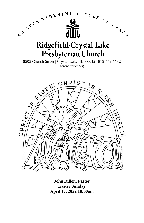

**John Dillon, Pastor Easter Sunday April 17, 2022 10:00am**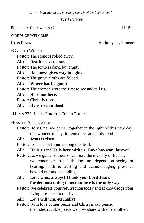*A "+" indicates all are invited to stand in either body or spirit.*

#### **WE GATHER**

PRELUDE: *PRELUDE IN C* J.S Bach

WORDS OF WELCOME

HE IS RISEN Anthony Jay Houston

+CALL TO WORSHIP

Pastor: The stone is rolled away.

## **All: Death is overcome.**

Pastor: The tomb is dark, but empty.

**All: Darkness gives way to light.** 

Pastor: The grave cloths are folded.

## **All: Where has he gone?**

Pastor: The women were the first to see and tell us,

## **All: He is not here.**

Pastor: Christ is risen!

## **All: He is risen indeed!**

+HYMN 232: JESUS CHRIST IS RISEN TODAY

## +EASTER AFFIRMATION

Pastor: Holy One, we gather together in the light of this new day, this wonderful day, to remember an empty tomb.

## **All: Jesus is risen!**

Pastor: Jesus is not found among the dead.

## **All: He is risen! He is here with us! Love has won, forever!**

- Pastor: As we gather to hear once more the mystery of Easter, we remember that faith does not depend on seeing or hearing; faith is trusting and acknowledging presence beyond our understanding.
- **All: Love wins, always! Thank you, Lord Jesus, for demonstrating to us that love is the only way.**
- Pastor: We celebrate your resurrection today and acknowledge your living presence in our lives.
- **All: Love will win, eternally!**
- Pastor: With love comes peace and Christ is our peace, the indestructible peace we now share with one another.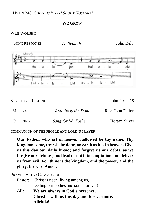+HYMN 248: *CHRIST IS RISEN! SHOUT HOSANNA!*

#### **WE GROW**

#### WEE WORSHIP

+SUNG RESPONSE *Hallelujah* John Bell



SCRIPTURE READING: John 20: 1-18

| MESSAGE         | Roll Away the Stone | Rev. John Dillon |
|-----------------|---------------------|------------------|
| <b>OFFERING</b> | Song for My Father  | Horace Silver    |

COMMUNION OF THE PEOPLE AND LORD'S PRAYER

**Our Father, who art in heaven, hallowed be thy name. Thy kingdom come, thy will be done, on earth as it is in heaven. Give us this day our daily bread; and forgive us our debts, as we forgive our debtors; and lead us not into temptation, but deliver us from evil. For thine is the kingdom, and the power, and the glory, forever. Amen.**

#### PRAYER AFTER COMMUNION

- Pastor: Christ is risen, living among us, feeding our bodies and souls forever!
- **All: We are always in God's presence. Christ is with us this day and forevermore. Alleluia!**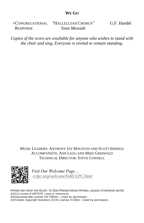#### **WE GO**

| +CONGREGATIONAL | "HALLELUJAH CHORUS" | G.F. Handel |
|-----------------|---------------------|-------------|
| <b>RESPONSE</b> | from <i>Messiah</i> |             |

*Copies of the score are available for anyone who wishes to stand with the choir and sing. Everyone is invited to remain standing.*

#### MUSIC LEADERS: ANTHONY JAY HOUSTON AND SCOTT IDDINGS ACCOMPANISTS: ANN LEGG AND MIKE GRISWOLD TECHNICAL DIRECTOR: STEVE CONNELL



*Visit Our Welcome Page… [rclpc.org/welcomeToRCLPC.html](http://rclpc.org/welcomeToRCLPC.html)*

HYMNS ARE FROM THE GLORY TO GOD PRESBYTERIAN HYMNAL UNLESS OTHERWISE NOTED ©CCLI LICENSE #1857579 | USED BY PERMISSION. ©OneLicense.Net License #A-708421 | Used by permission. ©Christian Copyright Solutions (CCS) License #13561 | Used by permission.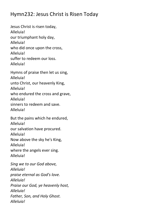## Hymn232: Jesus Christ is Risen Today

Jesus Christ is risen today, Alleluia! our triumphant holy day, Alleluia! who did once upon the cross, Alleluia! suffer to redeem our loss. Alleluia!

Hymns of praise then let us sing, Alleluia! unto Christ, our heavenly King, Alleluia! who endured the cross and grave, Alleluia! sinners to redeem and save. Alleluia!

But the pains which he endured, Alleluia! our salvation have procured. Alleluia! Now above the sky he's King, Alleluia! where the angels ever sing. Alleluia!

*Sing we to our God above, Alleluia! praise eternal as God's love. Alleluia! Praise our God, ye heavenly host, Alleluia! Father, Son, and Holy Ghost. Alleluia!*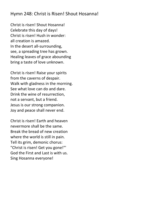## Hymn 248: Christ is Risen! Shout Hosanna!

Christ is risen! Shout Hosanna! Celebrate this day of days! Christ is risen! Hush in wonder: all creation is amazed. In the desert all-surrounding, see, a spreading tree has grown. Healing leaves of grace abounding bring a taste of love unknown.

Christ is risen! Raise your spirits from the caverns of despair. Walk with gladness in the morning. See what love can do and dare. Drink the wine of resurrection, not a servant, but a friend. Jesus is our strong companion. Joy and peace shall never end.

Christ is risen! Earth and heaven nevermore shall be the same. Break the bread of new creation where the world is still in pain. Tell its grim, demonic chorus: "Christ is risen! Get you gone!"' God the First and Last is with us. Sing Hosanna everyone!